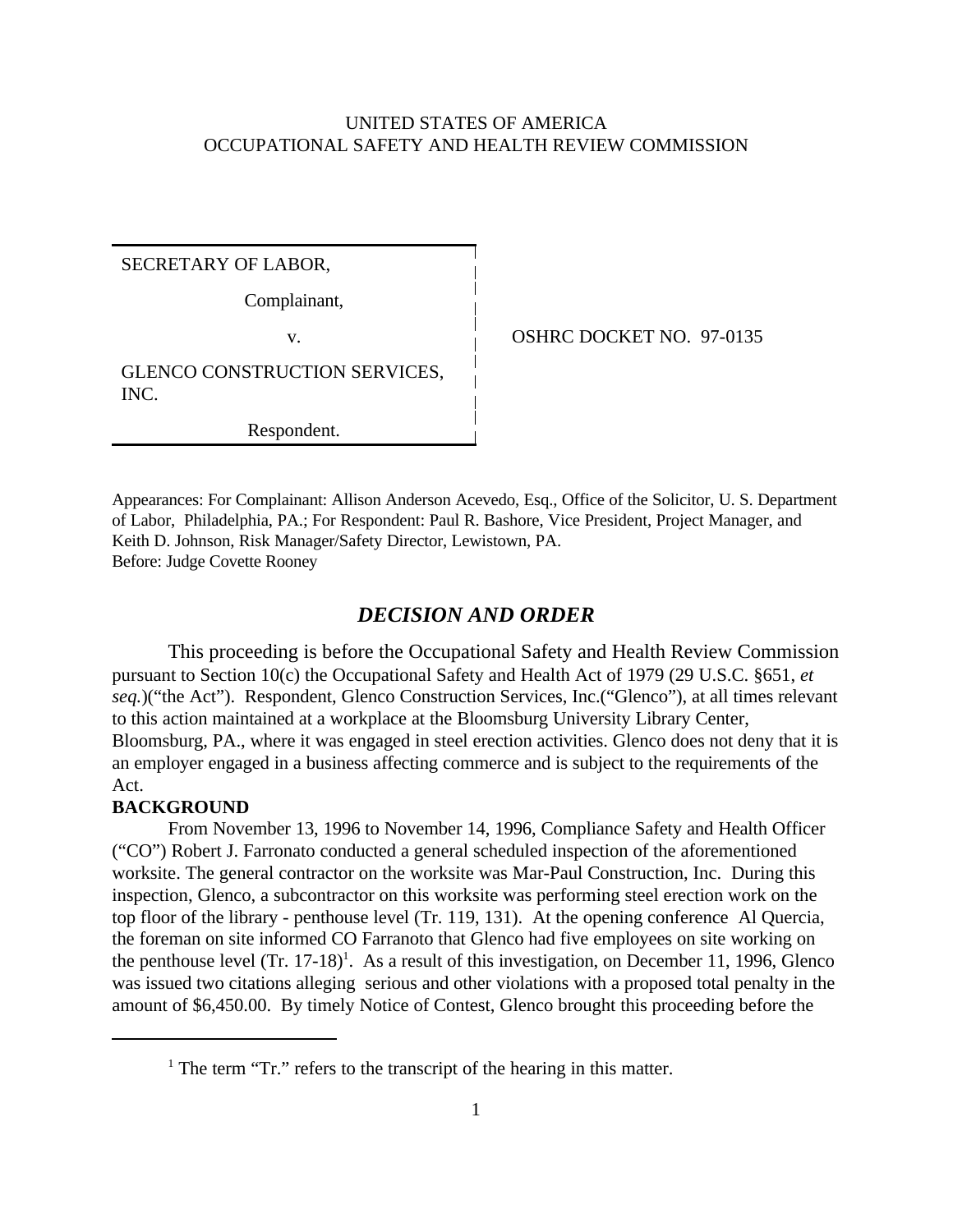## UNITED STATES OF AMERICA OCCUPATIONAL SAFETY AND HEALTH REVIEW COMMISSION

SECRETARY OF LABOR,

Complainant,

v. COSHRC DOCKET NO. 97-0135

GLENCO CONSTRUCTION SERVICES, INC.

Respondent.

Appearances: For Complainant: Allison Anderson Acevedo, Esq., Office of the Solicitor, U. S. Department of Labor, Philadelphia, PA.; For Respondent: Paul R. Bashore, Vice President, Project Manager, and Keith D. Johnson, Risk Manager/Safety Director, Lewistown, PA. Before: Judge Covette Rooney

## *DECISION AND ORDER*

This proceeding is before the Occupational Safety and Health Review Commission pursuant to Section 10(c) the Occupational Safety and Health Act of 1979 (29 U.S.C. §651, *et seq.*)("the Act"). Respondent, Glenco Construction Services, Inc.("Glenco"), at all times relevant to this action maintained at a workplace at the Bloomsburg University Library Center, Bloomsburg, PA., where it was engaged in steel erection activities. Glenco does not deny that it is an employer engaged in a business affecting commerce and is subject to the requirements of the Act.

#### **BACKGROUND**

From November 13, 1996 to November 14, 1996, Compliance Safety and Health Officer ("CO") Robert J. Farronato conducted a general scheduled inspection of the aforementioned worksite. The general contractor on the worksite was Mar-Paul Construction, Inc. During this inspection, Glenco, a subcontractor on this worksite was performing steel erection work on the top floor of the library - penthouse level (Tr. 119, 131). At the opening conference Al Quercia, the foreman on site informed CO Farranoto that Glenco had five employees on site working on the penthouse level  $(Tr. 17-18)^1$ . As a result of this investigation, on December 11, 1996, Glenco was issued two citations alleging serious and other violations with a proposed total penalty in the amount of \$6,450.00. By timely Notice of Contest, Glenco brought this proceeding before the

<sup>&</sup>lt;sup>1</sup> The term "Tr." refers to the transcript of the hearing in this matter.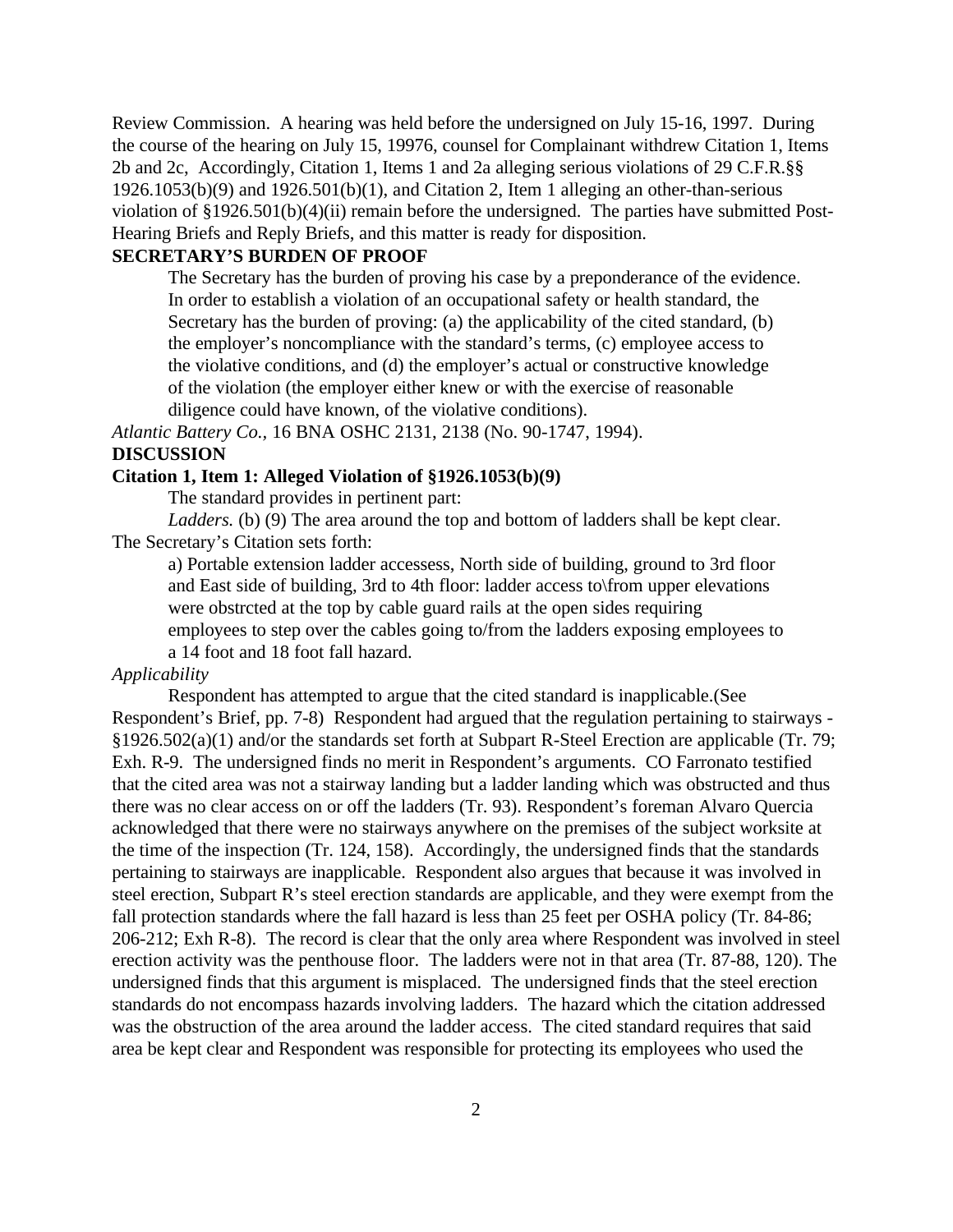Review Commission. A hearing was held before the undersigned on July 15-16, 1997. During the course of the hearing on July 15, 19976, counsel for Complainant withdrew Citation 1, Items 2b and 2c, Accordingly, Citation 1, Items 1 and 2a alleging serious violations of 29 C.F.R.§§ 1926.1053(b)(9) and 1926.501(b)(1), and Citation 2, Item 1 alleging an other-than-serious violation of §1926.501(b)(4)(ii) remain before the undersigned. The parties have submitted Post-Hearing Briefs and Reply Briefs, and this matter is ready for disposition.

## **SECRETARY'S BURDEN OF PROOF**

The Secretary has the burden of proving his case by a preponderance of the evidence. In order to establish a violation of an occupational safety or health standard, the Secretary has the burden of proving: (a) the applicability of the cited standard, (b) the employer's noncompliance with the standard's terms, (c) employee access to the violative conditions, and (d) the employer's actual or constructive knowledge of the violation (the employer either knew or with the exercise of reasonable diligence could have known, of the violative conditions).

*Atlantic Battery Co.,* 16 BNA OSHC 2131, 2138 (No. 90-1747, 1994).

### **DISCUSSION**

#### **Citation 1, Item 1: Alleged Violation of §1926.1053(b)(9)**

The standard provides in pertinent part:

*Ladders.* (b) (9) The area around the top and bottom of ladders shall be kept clear. The Secretary's Citation sets forth:

a) Portable extension ladder accessess, North side of building, ground to 3rd floor and East side of building, 3rd to 4th floor: ladder access to\from upper elevations were obstrcted at the top by cable guard rails at the open sides requiring employees to step over the cables going to/from the ladders exposing employees to a 14 foot and 18 foot fall hazard.

#### *Applicability*

Respondent has attempted to argue that the cited standard is inapplicable.(See Respondent's Brief, pp. 7-8) Respondent had argued that the regulation pertaining to stairways - §1926.502(a)(1) and/or the standards set forth at Subpart R-Steel Erection are applicable (Tr. 79; Exh. R-9. The undersigned finds no merit in Respondent's arguments. CO Farronato testified that the cited area was not a stairway landing but a ladder landing which was obstructed and thus there was no clear access on or off the ladders (Tr. 93). Respondent's foreman Alvaro Quercia acknowledged that there were no stairways anywhere on the premises of the subject worksite at the time of the inspection (Tr. 124, 158). Accordingly, the undersigned finds that the standards pertaining to stairways are inapplicable. Respondent also argues that because it was involved in steel erection, Subpart R's steel erection standards are applicable, and they were exempt from the fall protection standards where the fall hazard is less than 25 feet per OSHA policy (Tr. 84-86; 206-212; Exh R-8). The record is clear that the only area where Respondent was involved in steel erection activity was the penthouse floor. The ladders were not in that area (Tr. 87-88, 120). The undersigned finds that this argument is misplaced. The undersigned finds that the steel erection standards do not encompass hazards involving ladders. The hazard which the citation addressed was the obstruction of the area around the ladder access. The cited standard requires that said area be kept clear and Respondent was responsible for protecting its employees who used the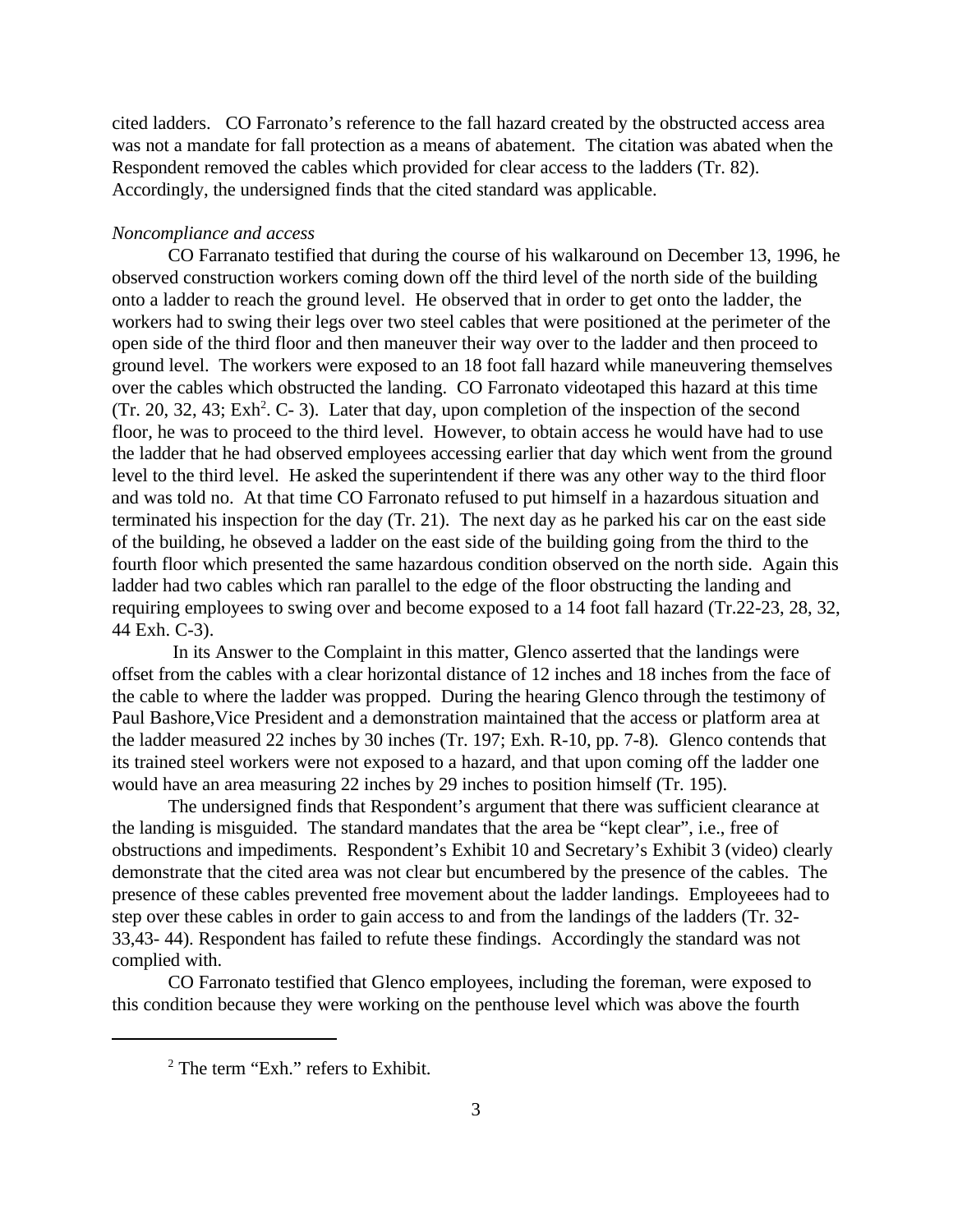cited ladders. CO Farronato's reference to the fall hazard created by the obstructed access area was not a mandate for fall protection as a means of abatement. The citation was abated when the Respondent removed the cables which provided for clear access to the ladders (Tr. 82). Accordingly, the undersigned finds that the cited standard was applicable.

#### *Noncompliance and access*

CO Farranato testified that during the course of his walkaround on December 13, 1996, he observed construction workers coming down off the third level of the north side of the building onto a ladder to reach the ground level. He observed that in order to get onto the ladder, the workers had to swing their legs over two steel cables that were positioned at the perimeter of the open side of the third floor and then maneuver their way over to the ladder and then proceed to ground level. The workers were exposed to an 18 foot fall hazard while maneuvering themselves over the cables which obstructed the landing. CO Farronato videotaped this hazard at this time  $(Tr. 20, 32, 43; Exh<sup>2</sup>. C- 3)$ . Later that day, upon completion of the inspection of the second floor, he was to proceed to the third level. However, to obtain access he would have had to use the ladder that he had observed employees accessing earlier that day which went from the ground level to the third level. He asked the superintendent if there was any other way to the third floor and was told no. At that time CO Farronato refused to put himself in a hazardous situation and terminated his inspection for the day (Tr. 21). The next day as he parked his car on the east side of the building, he obseved a ladder on the east side of the building going from the third to the fourth floor which presented the same hazardous condition observed on the north side. Again this ladder had two cables which ran parallel to the edge of the floor obstructing the landing and requiring employees to swing over and become exposed to a 14 foot fall hazard (Tr.22-23, 28, 32, 44 Exh. C-3).

 In its Answer to the Complaint in this matter, Glenco asserted that the landings were offset from the cables with a clear horizontal distance of 12 inches and 18 inches from the face of the cable to where the ladder was propped.During the hearing Glenco through the testimony of Paul Bashore,Vice President and a demonstration maintained that the access or platform area at the ladder measured 22 inches by 30 inches (Tr. 197; Exh. R-10, pp. 7-8)*.* Glenco contends that its trained steel workers were not exposed to a hazard, and that upon coming off the ladder one would have an area measuring 22 inches by 29 inches to position himself (Tr. 195).

The undersigned finds that Respondent's argument that there was sufficient clearance at the landing is misguided. The standard mandates that the area be "kept clear", i.e., free of obstructions and impediments. Respondent's Exhibit 10 and Secretary's Exhibit 3 (video) clearly demonstrate that the cited area was not clear but encumbered by the presence of the cables. The presence of these cables prevented free movement about the ladder landings. Employeees had to step over these cables in order to gain access to and from the landings of the ladders (Tr. 32- 33,43- 44). Respondent has failed to refute these findings. Accordingly the standard was not complied with.

CO Farronato testified that Glenco employees, including the foreman, were exposed to this condition because they were working on the penthouse level which was above the fourth

<sup>&</sup>lt;sup>2</sup> The term "Exh." refers to Exhibit.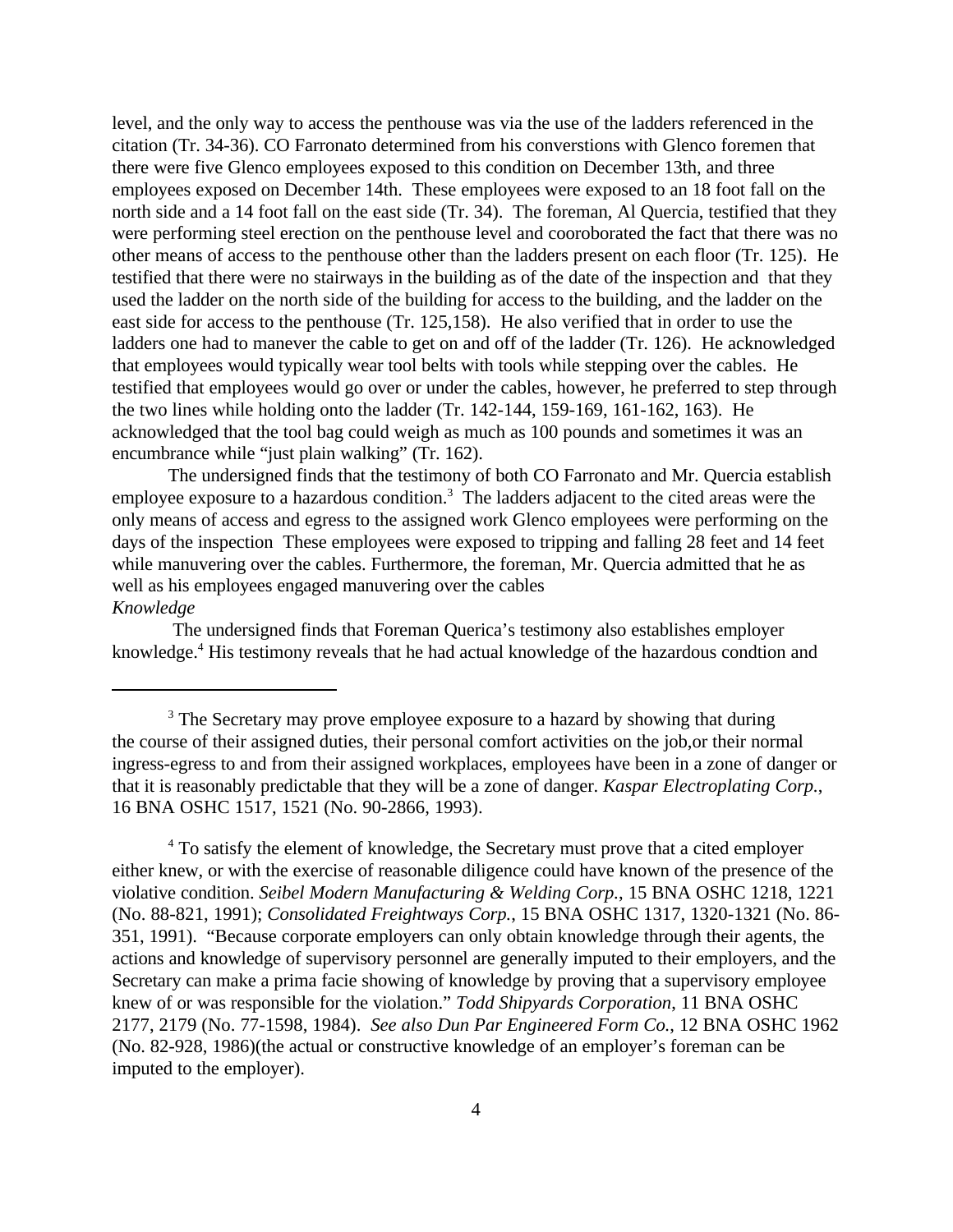level, and the only way to access the penthouse was via the use of the ladders referenced in the citation (Tr. 34-36). CO Farronato determined from his converstions with Glenco foremen that there were five Glenco employees exposed to this condition on December 13th, and three employees exposed on December 14th. These employees were exposed to an 18 foot fall on the north side and a 14 foot fall on the east side (Tr. 34). The foreman, Al Quercia, testified that they were performing steel erection on the penthouse level and cooroborated the fact that there was no other means of access to the penthouse other than the ladders present on each floor (Tr. 125). He testified that there were no stairways in the building as of the date of the inspection and that they used the ladder on the north side of the building for access to the building, and the ladder on the east side for access to the penthouse (Tr. 125,158). He also verified that in order to use the ladders one had to manever the cable to get on and off of the ladder (Tr. 126). He acknowledged that employees would typically wear tool belts with tools while stepping over the cables. He testified that employees would go over or under the cables, however, he preferred to step through the two lines while holding onto the ladder (Tr. 142-144, 159-169, 161-162, 163). He acknowledged that the tool bag could weigh as much as 100 pounds and sometimes it was an encumbrance while "just plain walking" (Tr. 162).

The undersigned finds that the testimony of both CO Farronato and Mr. Quercia establish employee exposure to a hazardous condition. $3$  The ladders adjacent to the cited areas were the only means of access and egress to the assigned work Glenco employees were performing on the days of the inspection These employees were exposed to tripping and falling 28 feet and 14 feet while manuvering over the cables. Furthermore, the foreman, Mr. Quercia admitted that he as well as his employees engaged manuvering over the cables *Knowledge*

 The undersigned finds that Foreman Querica's testimony also establishes employer knowledge.<sup>4</sup> His testimony reveals that he had actual knowledge of the hazardous condtion and

<sup>4</sup> To satisfy the element of knowledge, the Secretary must prove that a cited employer either knew, or with the exercise of reasonable diligence could have known of the presence of the violative condition. *Seibel Modern Manufacturing & Welding Corp.*, 15 BNA OSHC 1218, 1221 (No. 88-821, 1991); *Consolidated Freightways Corp.*, 15 BNA OSHC 1317, 1320-1321 (No. 86- 351, 1991). "Because corporate employers can only obtain knowledge through their agents, the actions and knowledge of supervisory personnel are generally imputed to their employers, and the Secretary can make a prima facie showing of knowledge by proving that a supervisory employee knew of or was responsible for the violation." *Todd Shipyards Corporation*, 11 BNA OSHC 2177, 2179 (No. 77-1598, 1984). *See also Dun Par Engineered Form Co.*, 12 BNA OSHC 1962 (No. 82-928, 1986)(the actual or constructive knowledge of an employer's foreman can be imputed to the employer).

<sup>&</sup>lt;sup>3</sup> The Secretary may prove employee exposure to a hazard by showing that during the course of their assigned duties, their personal comfort activities on the job,or their normal ingress-egress to and from their assigned workplaces, employees have been in a zone of danger or that it is reasonably predictable that they will be a zone of danger. *Kaspar Electroplating Corp.*, 16 BNA OSHC 1517, 1521 (No. 90-2866, 1993).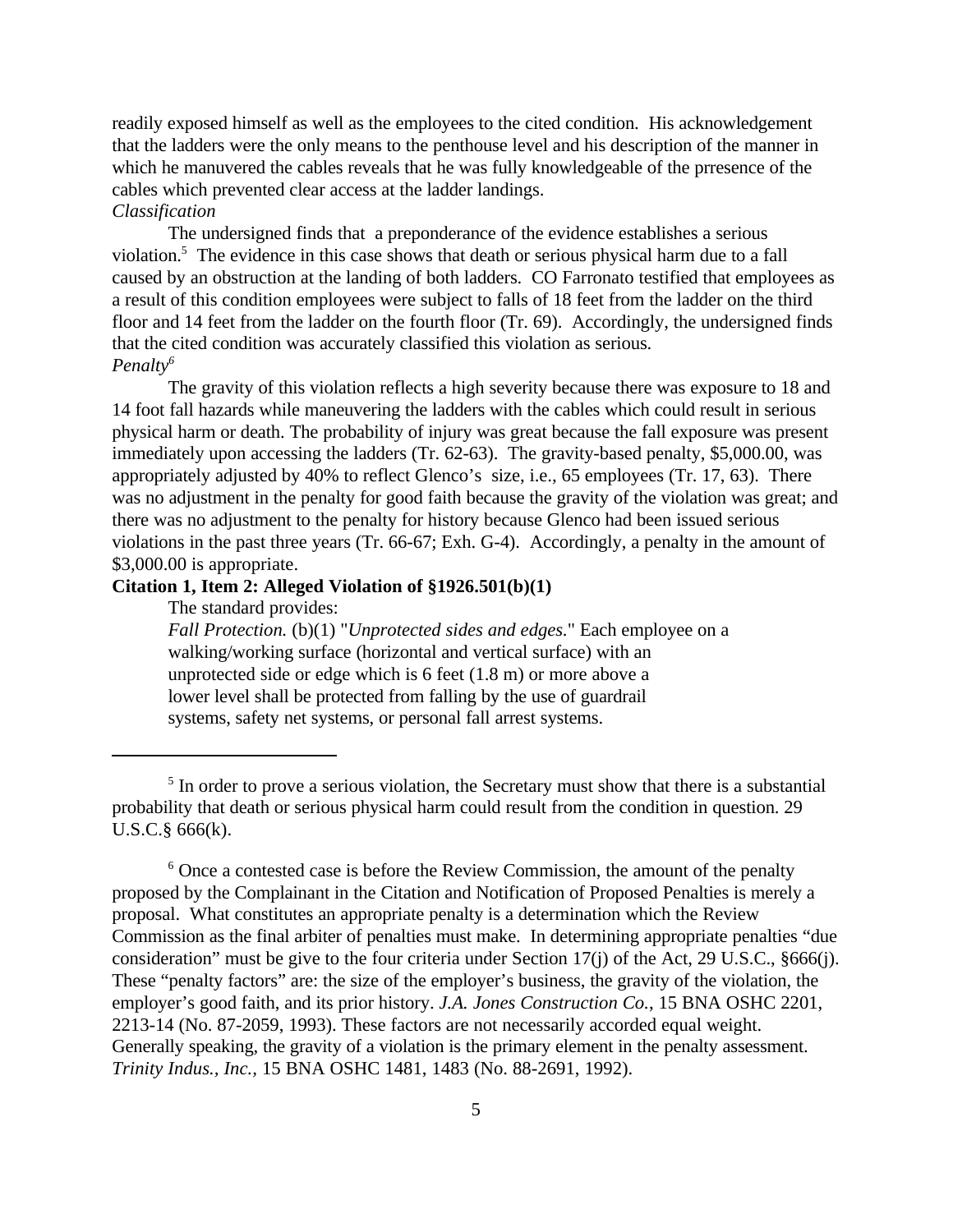readily exposed himself as well as the employees to the cited condition. His acknowledgement that the ladders were the only means to the penthouse level and his description of the manner in which he manuvered the cables reveals that he was fully knowledgeable of the prresence of the cables which prevented clear access at the ladder landings.

## *Classification*

The undersigned finds that a preponderance of the evidence establishes a serious violation.<sup>5</sup> The evidence in this case shows that death or serious physical harm due to a fall caused by an obstruction at the landing of both ladders. CO Farronato testified that employees as a result of this condition employees were subject to falls of 18 feet from the ladder on the third floor and 14 feet from the ladder on the fourth floor (Tr. 69). Accordingly, the undersigned finds that the cited condition was accurately classified this violation as serious. *Penalty<sup>6</sup>*

The gravity of this violation reflects a high severity because there was exposure to 18 and 14 foot fall hazards while maneuvering the ladders with the cables which could result in serious physical harm or death. The probability of injury was great because the fall exposure was present immediately upon accessing the ladders (Tr. 62-63). The gravity-based penalty, \$5,000.00, was appropriately adjusted by 40% to reflect Glenco's size, i.e., 65 employees (Tr. 17, 63). There was no adjustment in the penalty for good faith because the gravity of the violation was great; and there was no adjustment to the penalty for history because Glenco had been issued serious violations in the past three years (Tr. 66-67; Exh. G-4). Accordingly, a penalty in the amount of \$3,000.00 is appropriate.

## **Citation 1, Item 2: Alleged Violation of §1926.501(b)(1)**

The standard provides:

*Fall Protection.* (b)(1) "*Unprotected sides and edges.*" Each employee on a walking/working surface (horizontal and vertical surface) with an unprotected side or edge which is 6 feet (1.8 m) or more above a lower level shall be protected from falling by the use of guardrail systems, safety net systems, or personal fall arrest systems.

<sup>&</sup>lt;sup>5</sup> In order to prove a serious violation, the Secretary must show that there is a substantial probability that death or serious physical harm could result from the condition in question. 29 U.S.C.§ 666(k).

<sup>&</sup>lt;sup>6</sup> Once a contested case is before the Review Commission, the amount of the penalty proposed by the Complainant in the Citation and Notification of Proposed Penalties is merely a proposal. What constitutes an appropriate penalty is a determination which the Review Commission as the final arbiter of penalties must make.In determining appropriate penalties "due consideration" must be give to the four criteria under Section 17(j) of the Act, 29 U.S.C., §666(j). These "penalty factors" are: the size of the employer's business, the gravity of the violation, the employer's good faith, and its prior history. *J.A. Jones Construction Co.*, 15 BNA OSHC 2201, 2213-14 (No. 87-2059, 1993). These factors are not necessarily accorded equal weight. Generally speaking, the gravity of a violation is the primary element in the penalty assessment. *Trinity Indus., Inc.,* 15 BNA OSHC 1481, 1483 (No. 88-2691, 1992).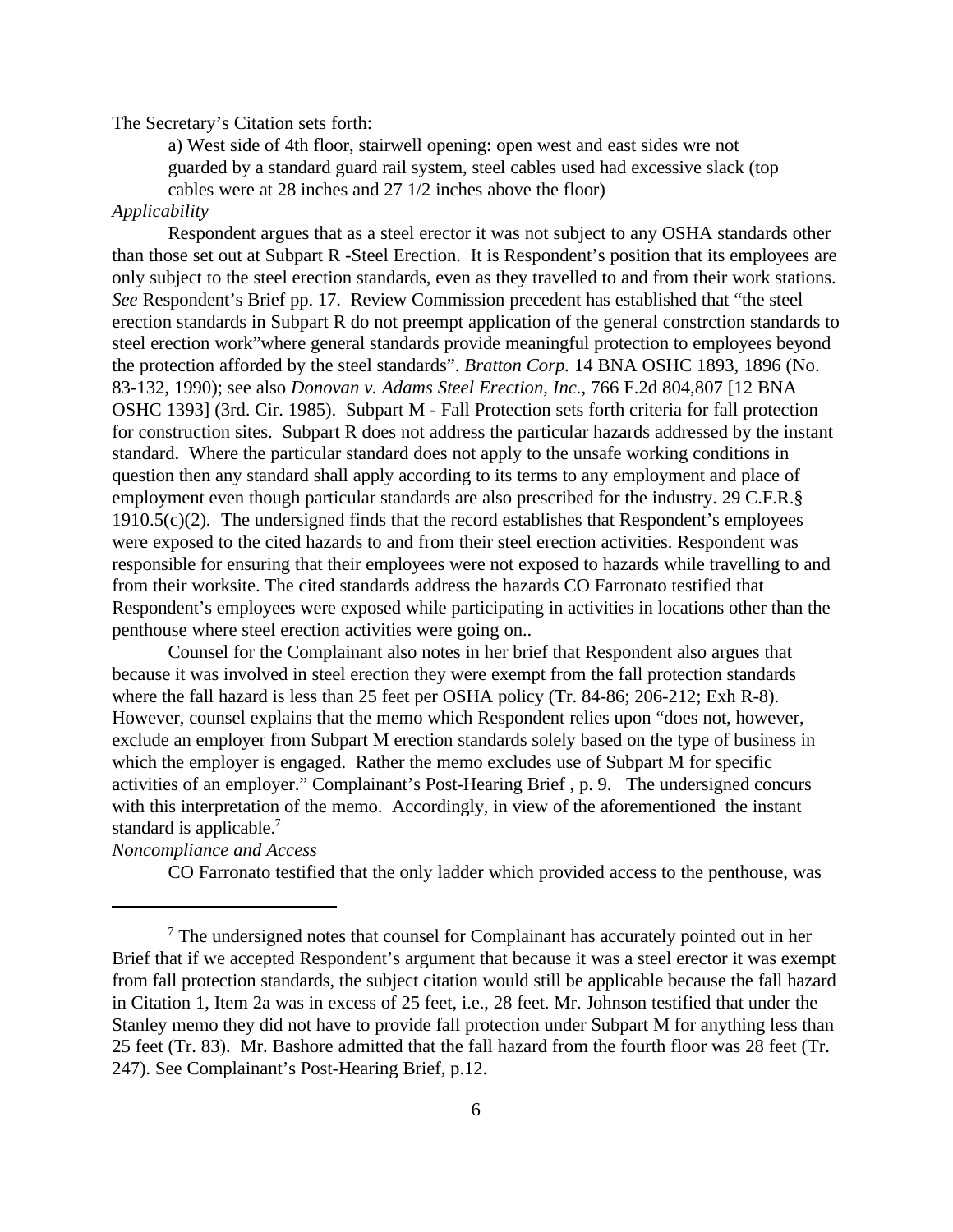#### The Secretary's Citation sets forth:

a) West side of 4th floor, stairwell opening: open west and east sides wre not guarded by a standard guard rail system, steel cables used had excessive slack (top cables were at 28 inches and 27 1/2 inches above the floor)

#### *Applicability*

Respondent argues that as a steel erector it was not subject to any OSHA standards other than those set out at Subpart R -Steel Erection. It is Respondent's position that its employees are only subject to the steel erection standards, even as they travelled to and from their work stations. *See* Respondent's Brief pp. 17. Review Commission precedent has established that "the steel erection standards in Subpart R do not preempt application of the general constrction standards to steel erection work"where general standards provide meaningful protection to employees beyond the protection afforded by the steel standards". *Bratton Corp.* 14 BNA OSHC 1893, 1896 (No. 83-132, 1990); see also *Donovan v. Adams Steel Erection, Inc.*, 766 F.2d 804,807 [12 BNA OSHC 1393] (3rd. Cir. 1985). Subpart M - Fall Protection sets forth criteria for fall protection for construction sites. Subpart R does not address the particular hazards addressed by the instant standard. Where the particular standard does not apply to the unsafe working conditions in question then any standard shall apply according to its terms to any employment and place of employment even though particular standards are also prescribed for the industry. 29 C.F.R.§ 1910.5(c)(2)*.* The undersigned finds that the record establishes that Respondent's employees were exposed to the cited hazards to and from their steel erection activities. Respondent was responsible for ensuring that their employees were not exposed to hazards while travelling to and from their worksite. The cited standards address the hazards CO Farronato testified that Respondent's employees were exposed while participating in activities in locations other than the penthouse where steel erection activities were going on..

Counsel for the Complainant also notes in her brief that Respondent also argues that because it was involved in steel erection they were exempt from the fall protection standards where the fall hazard is less than 25 feet per OSHA policy (Tr. 84-86; 206-212; Exh R-8). However, counsel explains that the memo which Respondent relies upon "does not, however, exclude an employer from Subpart M erection standards solely based on the type of business in which the employer is engaged. Rather the memo excludes use of Subpart M for specific activities of an employer." Complainant's Post-Hearing Brief , p. 9. The undersigned concurs with this interpretation of the memo. Accordingly, in view of the aforementioned the instant standard is applicable.<sup>7</sup>

# *Noncompliance and Access*

CO Farronato testified that the only ladder which provided access to the penthouse, was

 $7$  The undersigned notes that counsel for Complainant has accurately pointed out in her Brief that if we accepted Respondent's argument that because it was a steel erector it was exempt from fall protection standards, the subject citation would still be applicable because the fall hazard in Citation 1, Item 2a was in excess of 25 feet, i.e., 28 feet. Mr. Johnson testified that under the Stanley memo they did not have to provide fall protection under Subpart M for anything less than 25 feet (Tr. 83). Mr. Bashore admitted that the fall hazard from the fourth floor was 28 feet (Tr. 247). See Complainant's Post-Hearing Brief, p.12.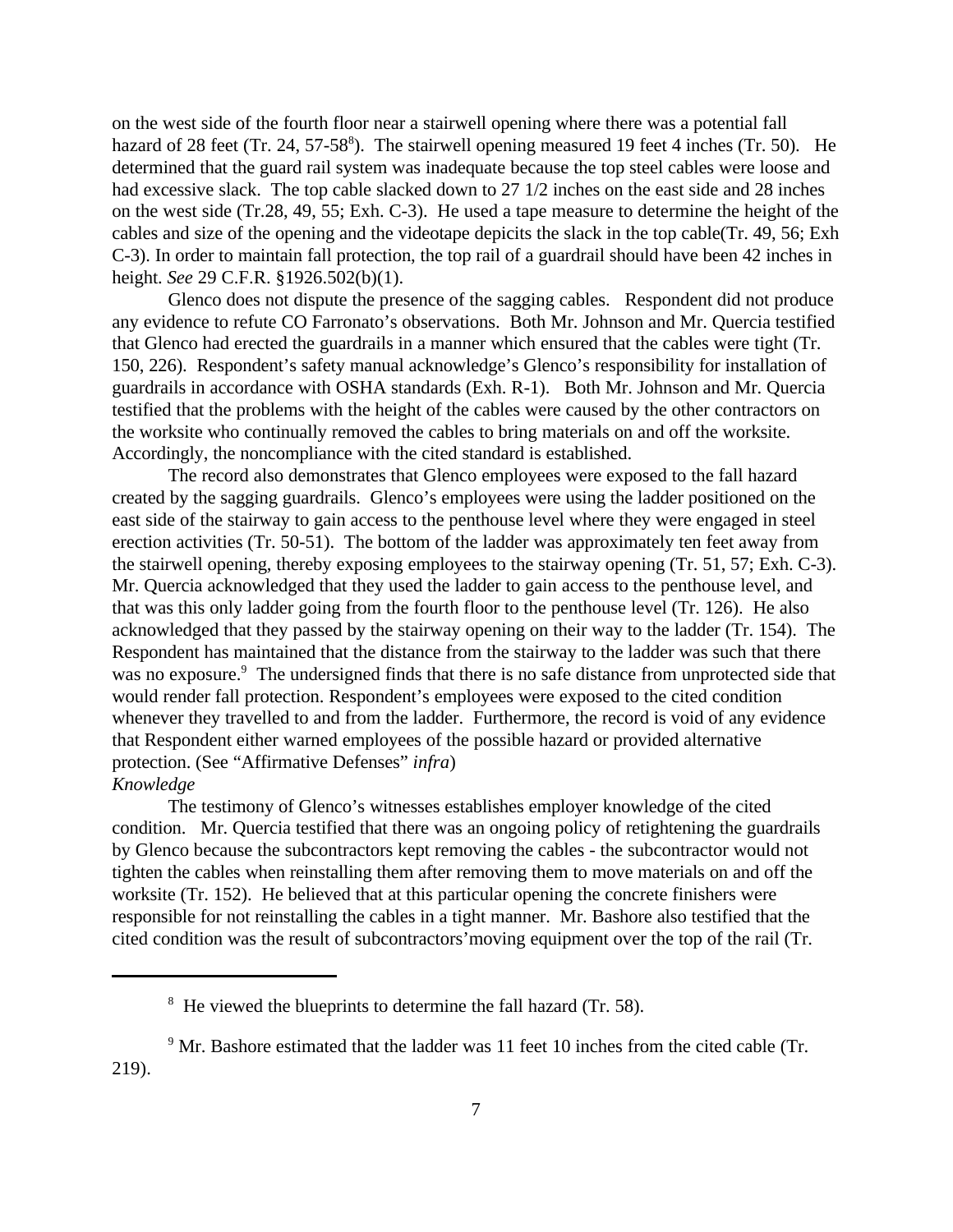on the west side of the fourth floor near a stairwell opening where there was a potential fall hazard of 28 feet (Tr. 24, 57-58<sup>8</sup>). The stairwell opening measured 19 feet 4 inches (Tr. 50). He determined that the guard rail system was inadequate because the top steel cables were loose and had excessive slack. The top cable slacked down to 27 1/2 inches on the east side and 28 inches on the west side (Tr.28, 49, 55; Exh. C-3). He used a tape measure to determine the height of the cables and size of the opening and the videotape depicits the slack in the top cable(Tr. 49, 56; Exh C-3). In order to maintain fall protection, the top rail of a guardrail should have been 42 inches in height. *See* 29 C.F.R. §1926.502(b)(1).

Glenco does not dispute the presence of the sagging cables. Respondent did not produce any evidence to refute CO Farronato's observations. Both Mr. Johnson and Mr. Quercia testified that Glenco had erected the guardrails in a manner which ensured that the cables were tight (Tr. 150, 226). Respondent's safety manual acknowledge's Glenco's responsibility for installation of guardrails in accordance with OSHA standards (Exh. R-1). Both Mr. Johnson and Mr. Quercia testified that the problems with the height of the cables were caused by the other contractors on the worksite who continually removed the cables to bring materials on and off the worksite. Accordingly, the noncompliance with the cited standard is established.

The record also demonstrates that Glenco employees were exposed to the fall hazard created by the sagging guardrails. Glenco's employees were using the ladder positioned on the east side of the stairway to gain access to the penthouse level where they were engaged in steel erection activities (Tr. 50-51). The bottom of the ladder was approximately ten feet away from the stairwell opening, thereby exposing employees to the stairway opening (Tr. 51, 57; Exh. C-3). Mr. Quercia acknowledged that they used the ladder to gain access to the penthouse level, and that was this only ladder going from the fourth floor to the penthouse level (Tr. 126). He also acknowledged that they passed by the stairway opening on their way to the ladder (Tr. 154). The Respondent has maintained that the distance from the stairway to the ladder was such that there was no exposure.<sup>9</sup> The undersigned finds that there is no safe distance from unprotected side that would render fall protection. Respondent's employees were exposed to the cited condition whenever they travelled to and from the ladder. Furthermore, the record is void of any evidence that Respondent either warned employees of the possible hazard or provided alternative protection. (See "Affirmative Defenses" *infra*) *Knowledge*

The testimony of Glenco's witnesses establishes employer knowledge of the cited condition. Mr. Quercia testified that there was an ongoing policy of retightening the guardrails by Glenco because the subcontractors kept removing the cables - the subcontractor would not tighten the cables when reinstalling them after removing them to move materials on and off the worksite (Tr. 152). He believed that at this particular opening the concrete finishers were responsible for not reinstalling the cables in a tight manner. Mr. Bashore also testified that the cited condition was the result of subcontractors'moving equipment over the top of the rail (Tr.

<sup>&</sup>lt;sup>8</sup> He viewed the blueprints to determine the fall hazard (Tr. 58).

 $9^9$  Mr. Bashore estimated that the ladder was 11 feet 10 inches from the cited cable (Tr. 219).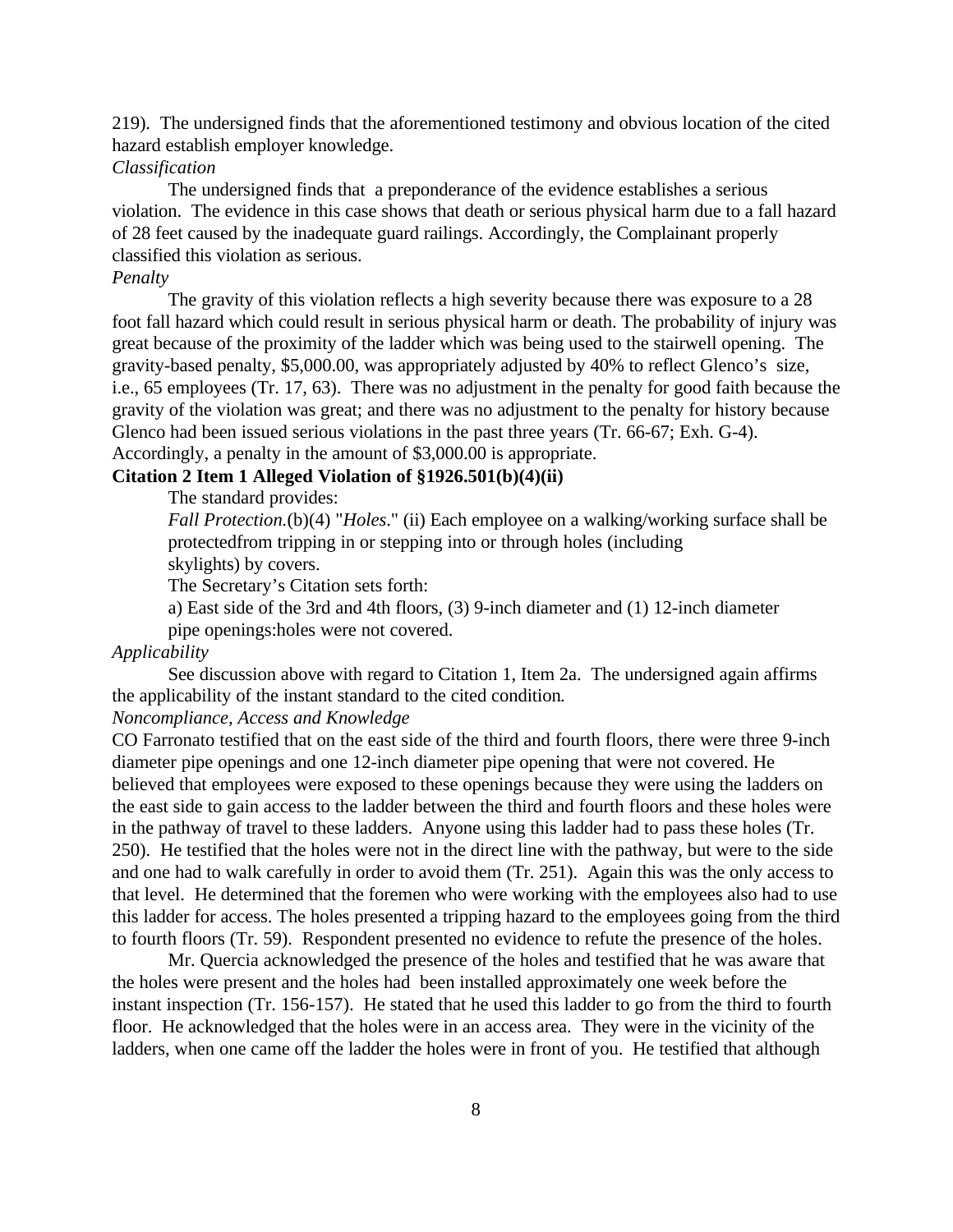219). The undersigned finds that the aforementioned testimony and obvious location of the cited hazard establish employer knowledge.

#### *Classification*

The undersigned finds that a preponderance of the evidence establishes a serious violation. The evidence in this case shows that death or serious physical harm due to a fall hazard of 28 feet caused by the inadequate guard railings. Accordingly, the Complainant properly classified this violation as serious.

#### *Penalty*

The gravity of this violation reflects a high severity because there was exposure to a 28 foot fall hazard which could result in serious physical harm or death. The probability of injury was great because of the proximity of the ladder which was being used to the stairwell opening. The gravity-based penalty, \$5,000.00, was appropriately adjusted by 40% to reflect Glenco's size, i.e., 65 employees (Tr. 17, 63). There was no adjustment in the penalty for good faith because the gravity of the violation was great; and there was no adjustment to the penalty for history because Glenco had been issued serious violations in the past three years (Tr. 66-67; Exh. G-4). Accordingly, a penalty in the amount of \$3,000.00 is appropriate.

### **Citation 2 Item 1 Alleged Violation of §1926.501(b)(4)(ii)**

The standard provides:

*Fall Protection.*(b)(4) "*Holes*." (ii) Each employee on a walking/working surface shall be protectedfrom tripping in or stepping into or through holes (including skylights) by covers.

The Secretary's Citation sets forth:

a) East side of the 3rd and 4th floors, (3) 9-inch diameter and (1) 12-inch diameter

pipe openings:holes were not covered.

#### *Applicability*

See discussion above with regard to Citation 1, Item 2a. The undersigned again affirms the applicability of the instant standard to the cited condition*.*

# *Noncompliance, Access and Knowledge*

CO Farronato testified that on the east side of the third and fourth floors, there were three 9-inch diameter pipe openings and one 12-inch diameter pipe opening that were not covered. He believed that employees were exposed to these openings because they were using the ladders on the east side to gain access to the ladder between the third and fourth floors and these holes were in the pathway of travel to these ladders. Anyone using this ladder had to pass these holes (Tr. 250). He testified that the holes were not in the direct line with the pathway, but were to the side and one had to walk carefully in order to avoid them (Tr. 251). Again this was the only access to that level. He determined that the foremen who were working with the employees also had to use this ladder for access. The holes presented a tripping hazard to the employees going from the third to fourth floors (Tr. 59). Respondent presented no evidence to refute the presence of the holes.

Mr. Quercia acknowledged the presence of the holes and testified that he was aware that the holes were present and the holes had been installed approximately one week before the instant inspection (Tr. 156-157). He stated that he used this ladder to go from the third to fourth floor. He acknowledged that the holes were in an access area. They were in the vicinity of the ladders, when one came off the ladder the holes were in front of you. He testified that although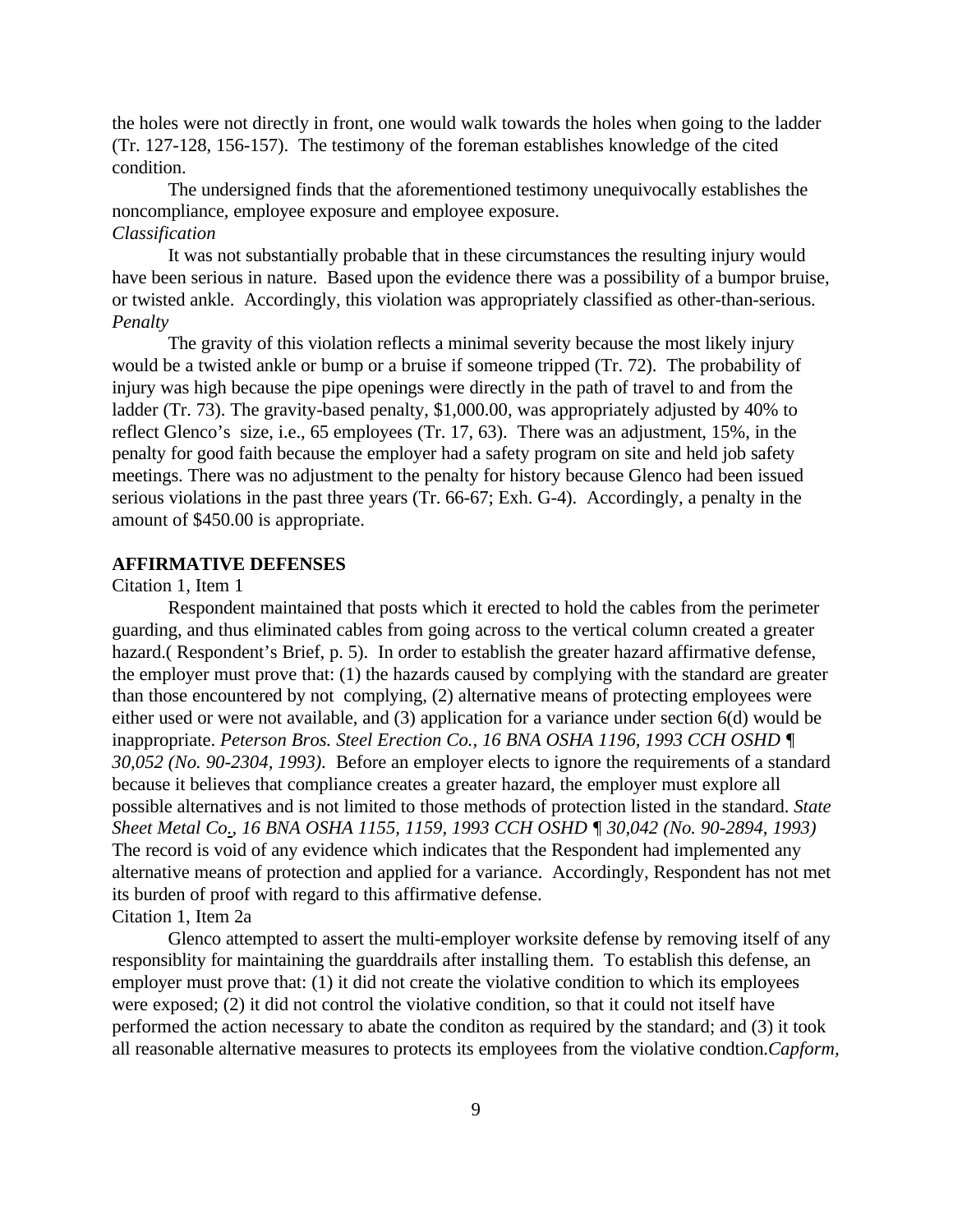the holes were not directly in front, one would walk towards the holes when going to the ladder (Tr. 127-128, 156-157). The testimony of the foreman establishes knowledge of the cited condition.

The undersigned finds that the aforementioned testimony unequivocally establishes the noncompliance, employee exposure and employee exposure. *Classification*

It was not substantially probable that in these circumstances the resulting injury would have been serious in nature. Based upon the evidence there was a possibility of a bumpor bruise, or twisted ankle. Accordingly, this violation was appropriately classified as other-than-serious. *Penalty*

The gravity of this violation reflects a minimal severity because the most likely injury would be a twisted ankle or bump or a bruise if someone tripped (Tr. 72). The probability of injury was high because the pipe openings were directly in the path of travel to and from the ladder (Tr. 73). The gravity-based penalty, \$1,000.00, was appropriately adjusted by 40% to reflect Glenco's size, i.e., 65 employees (Tr. 17, 63). There was an adjustment, 15%, in the penalty for good faith because the employer had a safety program on site and held job safety meetings. There was no adjustment to the penalty for history because Glenco had been issued serious violations in the past three years (Tr. 66-67; Exh. G-4). Accordingly, a penalty in the amount of \$450.00 is appropriate.

## **AFFIRMATIVE DEFENSES**

#### Citation 1, Item 1

Respondent maintained that posts which it erected to hold the cables from the perimeter guarding, and thus eliminated cables from going across to the vertical column created a greater hazard.( Respondent's Brief, p. 5). In order to establish the greater hazard affirmative defense, the employer must prove that: (1) the hazards caused by complying with the standard are greater than those encountered by not complying, (2) alternative means of protecting employees were either used or were not available, and (3) application for a variance under section 6(d) would be inappropriate. *Peterson Bros. Steel Erection Co., 16 BNA OSHA 1196, 1993 CCH OSHD ¶ 30,052 (No. 90-2304, 1993).* Before an employer elects to ignore the requirements of a standard because it believes that compliance creates a greater hazard, the employer must explore all possible alternatives and is not limited to those methods of protection listed in the standard. *State Sheet Metal Co., 16 BNA OSHA 1155, 1159, 1993 CCH OSHD ¶ 30,042 (No. 90-2894, 1993)* The record is void of any evidence which indicates that the Respondent had implemented any alternative means of protection and applied for a variance. Accordingly, Respondent has not met its burden of proof with regard to this affirmative defense. Citation 1, Item 2a

Glenco attempted to assert the multi-employer worksite defense by removing itself of any responsiblity for maintaining the guarddrails after installing them. To establish this defense, an employer must prove that: (1) it did not create the violative condition to which its employees were exposed; (2) it did not control the violative condition, so that it could not itself have performed the action necessary to abate the conditon as required by the standard; and (3) it took all reasonable alternative measures to protects its employees from the violative condtion.*Capform,*